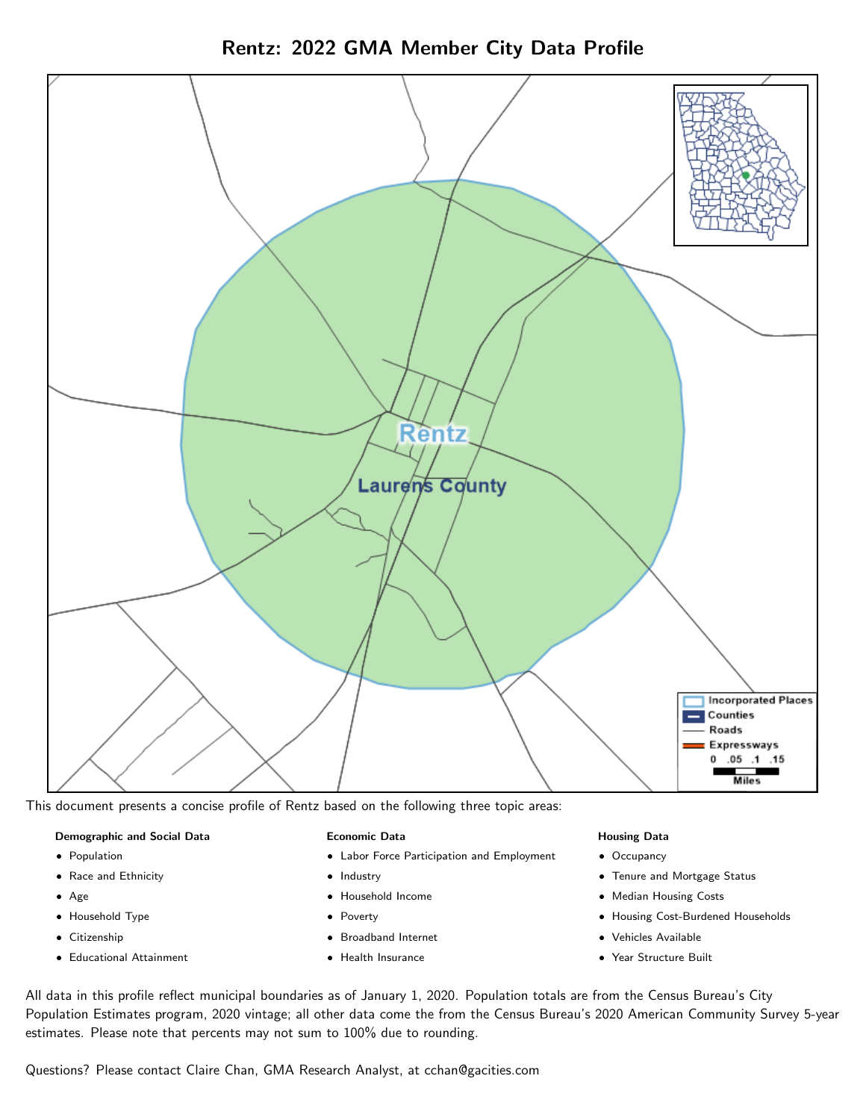



This document presents a concise profile of Rentz based on the following three topic areas:

#### Demographic and Social Data

- **•** Population
- Race and Ethnicity
- Age
- Household Type
- **Citizenship**
- Educational Attainment

#### Economic Data

- Labor Force Participation and Employment
- Industry
- Household Income
- Poverty
- Broadband Internet
- Health Insurance

#### Housing Data

- Occupancy
- Tenure and Mortgage Status
- Median Housing Costs
- Housing Cost-Burdened Households
- Vehicles Available
- Year Structure Built

All data in this profile reflect municipal boundaries as of January 1, 2020. Population totals are from the Census Bureau's City Population Estimates program, 2020 vintage; all other data come the from the Census Bureau's 2020 American Community Survey 5-year estimates. Please note that percents may not sum to 100% due to rounding.

Questions? Please contact Claire Chan, GMA Research Analyst, at [cchan@gacities.com.](mailto:cchan@gacities.com)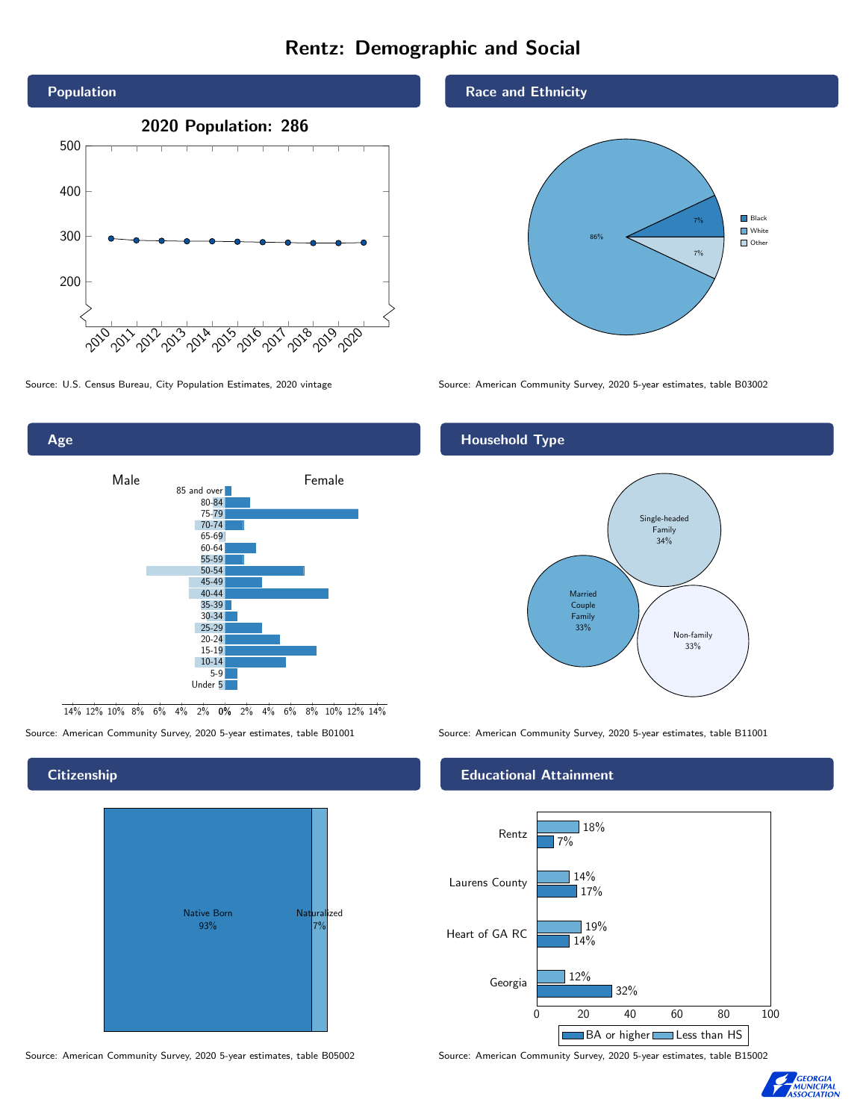# Rentz: Demographic and Social





0% 2% 4% 6% 8% 10% 12% 14% 14% 12% 10% 8% 6% 4% 2%

# **Citizenship**

Age



Source: American Community Survey, 2020 5-year estimates, table B05002 Source: American Community Survey, 2020 5-year estimates, table B15002

#### Race and Ethnicity



Source: U.S. Census Bureau, City Population Estimates, 2020 vintage Source: American Community Survey, 2020 5-year estimates, table B03002

## Household Type



Source: American Community Survey, 2020 5-year estimates, table B01001 Source: American Community Survey, 2020 5-year estimates, table B11001

### Educational Attainment



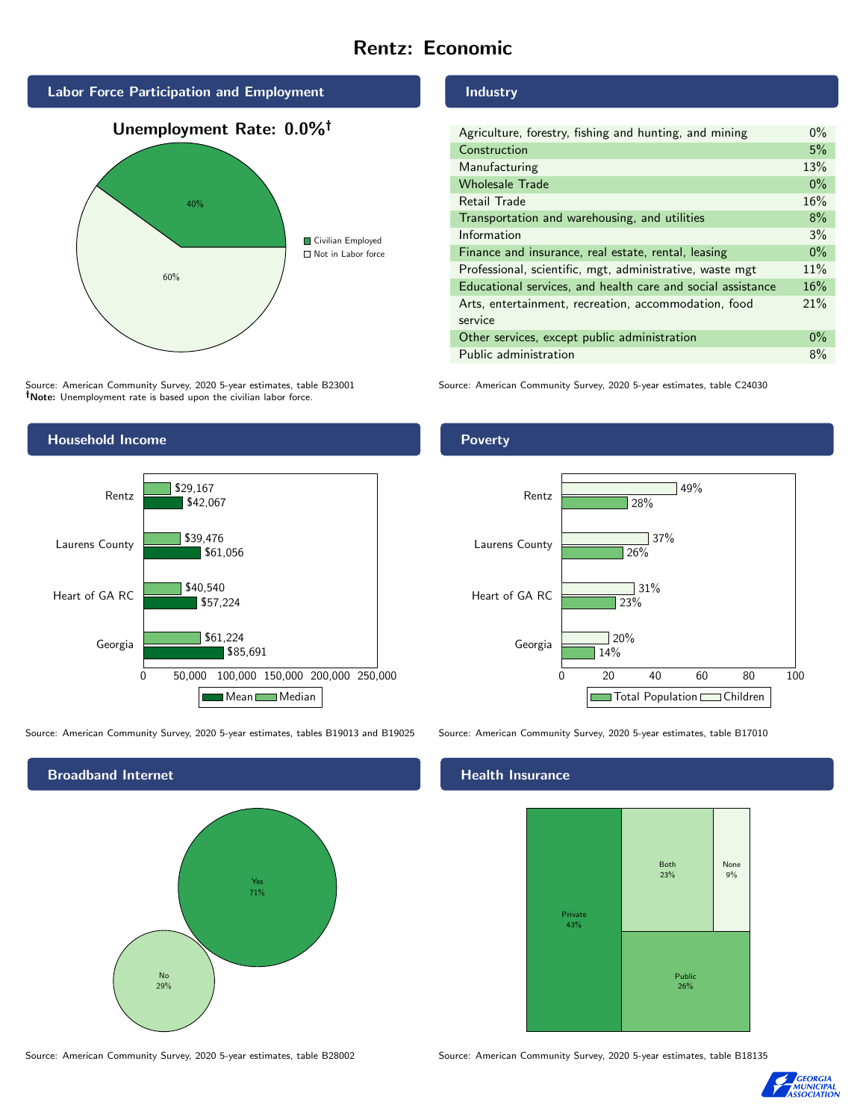# Rentz: Economic



Source: American Community Survey, 2020 5-year estimates, table B23001 Note: Unemployment rate is based upon the civilian labor force.



| Agriculture, forestry, fishing and hunting, and mining      | $0\%$ |
|-------------------------------------------------------------|-------|
| Construction                                                | 5%    |
| Manufacturing                                               | 13%   |
| <b>Wholesale Trade</b>                                      | $0\%$ |
| Retail Trade                                                | 16%   |
| Transportation and warehousing, and utilities               | 8%    |
| Information                                                 | 3%    |
| Finance and insurance, real estate, rental, leasing         | $0\%$ |
| Professional, scientific, mgt, administrative, waste mgt    | 11%   |
| Educational services, and health care and social assistance | 16%   |
| Arts, entertainment, recreation, accommodation, food        | 21%   |
| service                                                     |       |
| Other services, except public administration                | $0\%$ |
| Public administration                                       | 8%    |

Source: American Community Survey, 2020 5-year estimates, table C24030



Source: American Community Survey, 2020 5-year estimates, tables B19013 and B19025 Source: American Community Survey, 2020 5-year estimates, table B17010



## **Health Insurance**



Source: American Community Survey, 2020 5-year estimates, table B28002 Source: American Community Survey, 2020 5-year estimates, table B18135



Poverty